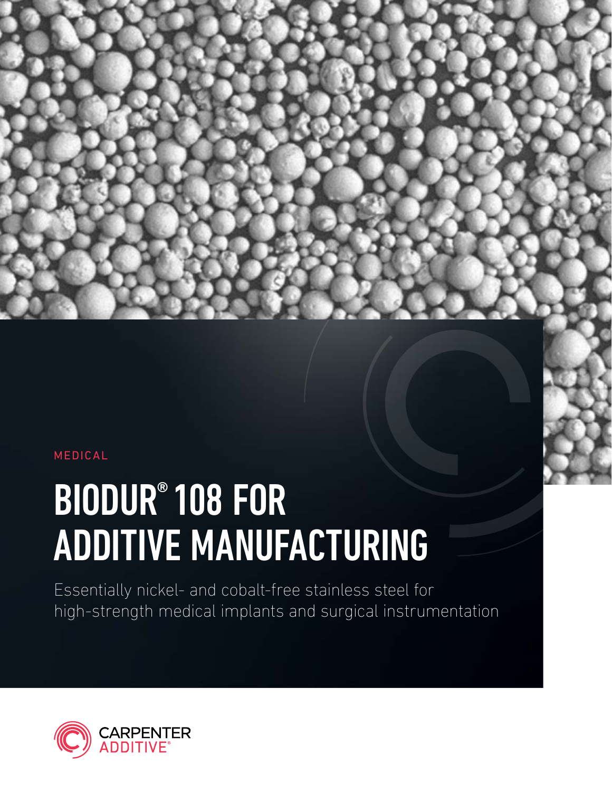#### MEDICAL

# BIODUR® 108 FOR ADDITIVE MANUFACTURING

Essentially nickel- and cobalt-free stainless steel for high-strength medical implants and surgical instrumentation

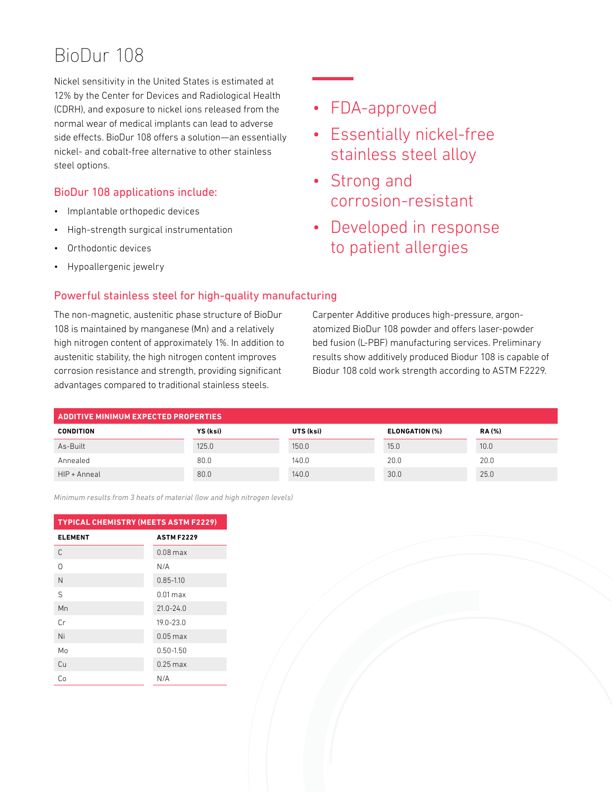# BioDur 108

Nickel sensitivity in the United States is estimated at 12% by the Center for Devices and Radiological Health (CDRH), and exposure to nickel ions released from the normal wear of medical implants can lead to adverse side effects. BioDur 108 offers a solution—an essentially nickel- and cobalt-free alternative to other stainless steel options.

#### BioDur 108 applications include:

- Implantable orthopedic devices
- High-strength surgical instrumentation
- Orthodontic devices
- Hypoallergenic jewelry

### • FDA-approved

- Essentially nickel-free stainless steel alloy
- Strong and corrosion-resistant
- Developed in response to patient allergies

#### Powerful stainless steel for high-quality manufacturing

The non-magnetic, austenitic phase structure of BioDur 108 is maintained by manganese (Mn) and a relatively high nitrogen content of approximately 1%. In addition to austenitic stability, the high nitrogen content improves corrosion resistance and strength, providing significant advantages compared to traditional stainless steels.

Carpenter Additive produces high-pressure, argonatomized BioDur 108 powder and offers laser-powder bed fusion (L-PBF) manufacturing services. Preliminary results show additively produced Biodur 108 is capable of Biodur 108 cold work strength according to ASTM F2229.

| <b>ADDITIVE MINIMUM EXPECTED PROPERTIES</b> |          |           |                |              |
|---------------------------------------------|----------|-----------|----------------|--------------|
| <b>CONDITION</b>                            | YS (ksi) | UTS (ksi) | ELONGATION (%) | <b>RA(%)</b> |
| As-Built                                    | 125.0    | 150.0     | 15.0           | 10.0         |
| Annealed                                    | 80.0     | 140.0     | 20.0           | 20.0         |
| HIP + Anneal                                | 80.0     | 140.0     | 30.0           | 25.0         |

*Minimum results from 3 heats of material (low and high nitrogen levels)*

| <b>TYPICAL CHEMISTRY (MEETS ASTM F2229)</b> |                   |  |  |
|---------------------------------------------|-------------------|--|--|
| <b>ELEMENT</b>                              | <b>ASTM F2229</b> |  |  |
| C                                           | $0.08$ max        |  |  |
| ∩                                           | N/A               |  |  |
| N                                           | $0.85 - 1.10$     |  |  |
| $\varsigma$                                 | $0.01$ max        |  |  |
| Mn                                          | $21.0 - 24.0$     |  |  |
| Cr.                                         | $19.0 - 23.0$     |  |  |
| Ni                                          | $0.05$ max        |  |  |
| Mo                                          | $0.50 - 1.50$     |  |  |
| Cu                                          | $0.25$ max        |  |  |
| Cо                                          | N/A               |  |  |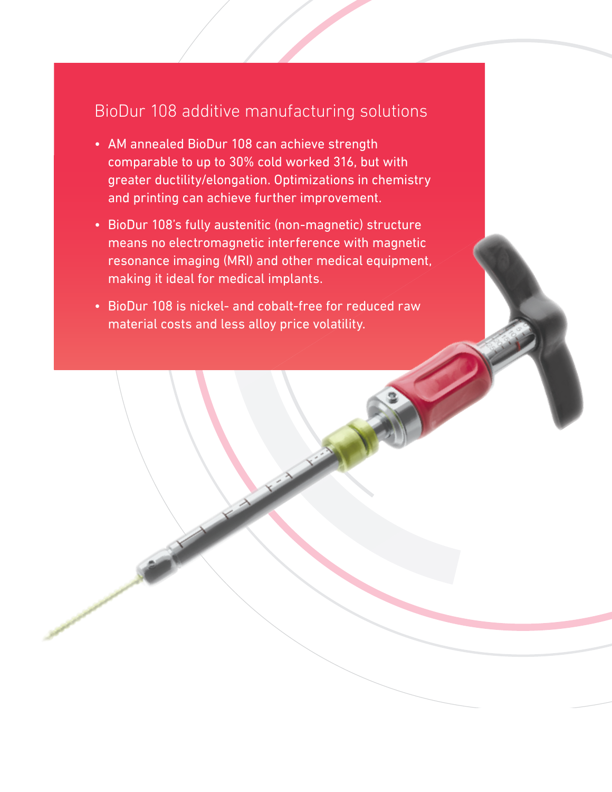## BioDur 108 additive manufacturing solutions

- AM annealed BioDur 108 can achieve strength comparable to up to 30% cold worked 316, but with greater ductility/elongation. Optimizations in chemistry and printing can achieve further improvement.
- BioDur 108's fully austenitic (non-magnetic) structure means no electromagnetic interference with magnetic resonance imaging (MRI) and other medical equipment, making it ideal for medical implants.
- BioDur 108 is nickel- and cobalt-free for reduced raw material costs and less alloy price volatility.